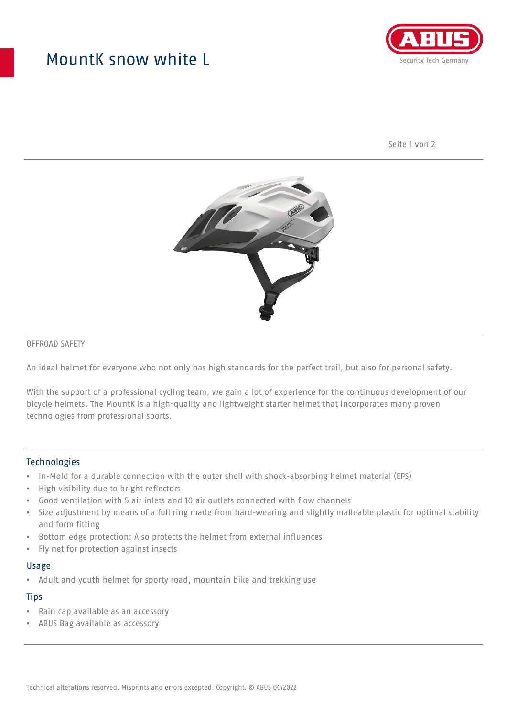## MountK snow white L



Seite 1 von 2



#### OFFROAD SAFETY

An ideal helmet for everyone who not only has high standards for the perfect trail, but also for personal safety.

With the support of a professional cycling team, we gain a lot of experience for the continuous development of our bicycle helmets. The MountK is a high-quality and lightweight starter helmet that incorporates many proven technologies from professional sports.

#### **Technologies**

- In-Mold for a durable connection with the outer shell with shock-absorbing helmet material (EPS)
- High visibility due to bright reflectors
- Good ventilation with 5 air inlets and 10 air outlets connected with flow channels
- Size adjustment by means of a full ring made from hard-wearing and slightly malleable plastic for optimal stability and form fitting
- Bottom edge protection: Also protects the helmet from external influences
- Fly net for protection against insects

#### Usage

• Adult and youth helmet for sporty road, mountain bike and trekking use

## **Tips**

- Rain cap available as an accessory
- ABUS Bag available as accessory